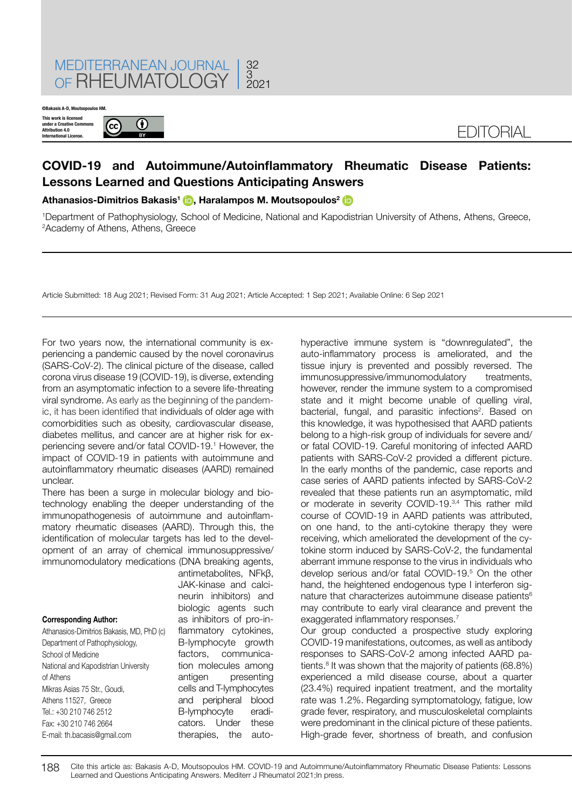

**©Bakasis A-D, Mout** 

**This work is licensed under a Creative Commons Attribution 4.0 International License.**



## **COVID-19 and Autoimmune/Autoinflammatory Rheumatic Disease Patients: Lessons Learned and Questions Anticipating Answers**

**Athanasios-Dimitrios Bakasis<sup>1</sup> [,](https://orcid.org/0000-0001-9465-2162) Haralampos M. Moutsopoulos<sup>2</sup>**

1 Department of Pathophysiology, School of Medicine, National and Kapodistrian University of Athens, Athens, Greece, 2 Academy of Athens, Athens, Greece

Article Submitted: 18 Aug 2021; Revised Form: 31 Aug 2021; Article Accepted: 1 Sep 2021; Available Online: 6 Sep 2021

For two years now, the international community is experiencing a pandemic caused by the novel coronavirus (SARS-CoV-2). The clinical picture of the disease, called corona virus disease 19 (COVID-19), is diverse, extending from an asymptomatic infection to a severe life-threating viral syndrome. As early as the beginning of the pandemic, it has been identified that individuals of older age with comorbidities such as obesity, cardiovascular disease, diabetes mellitus, and cancer are at higher risk for experiencing severe and/or fatal COVID-19.1 However, the impact of COVID-19 in patients with autoimmune and autoinflammatory rheumatic diseases (AARD) remained unclear.

There has been a surge in molecular biology and biotechnology enabling the deeper understanding of the immunopathogenesis of autoimmune and autoinflammatory rheumatic diseases (AARD). Through this, the identification of molecular targets has led to the development of an array of chemical immunosuppressive/ immunomodulatory medications (DNA breaking agents,

## **Corresponding Author:**

Athanasios-Dimitrios Bakasis, MD, PhD (c) Department of Pathophysiology, School of Medicine National and Kapodistrian University of Athens Mikras Asias 75 Str., Goudi, Athens 11527, Greece Tel.: +30 210 746 2512 Fax: +30 210 746 2664 E-mail: th.bacasis@gmail.com

antimetabolites, NFkβ, JAK-kinase and calcineurin inhibitors) and biologic agents such as inhibitors of pro-inflammatory cytokines. B-lymphocyte growth factors, communication molecules among antigen presenting cells and T-lymphocytes and peripheral blood B-lymphocyte eradicators. Under these therapies, the autohyperactive immune system is "downregulated", the auto-inflammatory process is ameliorated, and the tissue injury is prevented and possibly reversed. The immunosuppressive/immunomodulatory treatments, however, render the immune system to a compromised state and it might become unable of quelling viral, bacterial, fungal, and parasitic infections<sup>2</sup>. Based on this knowledge, it was hypothesised that AARD patients belong to a high-risk group of individuals for severe and/ or fatal COVID-19. Careful monitoring of infected AARD patients with SARS-CoV-2 provided a different picture. In the early months of the pandemic, case reports and case series of AARD patients infected by SARS-CoV-2 revealed that these patients run an asymptomatic, mild or moderate in severity COVID-19.3,4 This rather mild course of COVID-19 in AARD patients was attributed, on one hand, to the anti-cytokine therapy they were receiving, which ameliorated the development of the cytokine storm induced by SARS-CoV-2, the fundamental aberrant immune response to the virus in individuals who develop serious and/or fatal COVID-19.5 On the other hand, the heightened endogenous type I interferon signature that characterizes autoimmune disease patients<sup>6</sup> may contribute to early viral clearance and prevent the exaggerated inflammatory responses.<sup>7</sup>

Our group conducted a prospective study exploring COVID-19 manifestations, outcomes, as well as antibody responses to SARS-CoV-2 among infected AARD patients.<sup>8</sup> It was shown that the majority of patients (68.8%) experienced a mild disease course, about a quarter (23.4%) required inpatient treatment, and the mortality rate was 1.2%. Regarding symptomatology, fatigue, low grade fever, respiratory, and musculoskeletal complaints were predominant in the clinical picture of these patients. High-grade fever, shortness of breath, and confusion

188 Cite this article as: Bakasis A-D, Moutsopoulos HM. COVID-19 and Autoimmune/Autoinflammatory Rheumatic Disease Patients: Lessons Learned and Questions Anticipating Answers. Mediterr J Rheumatol 2021; In press.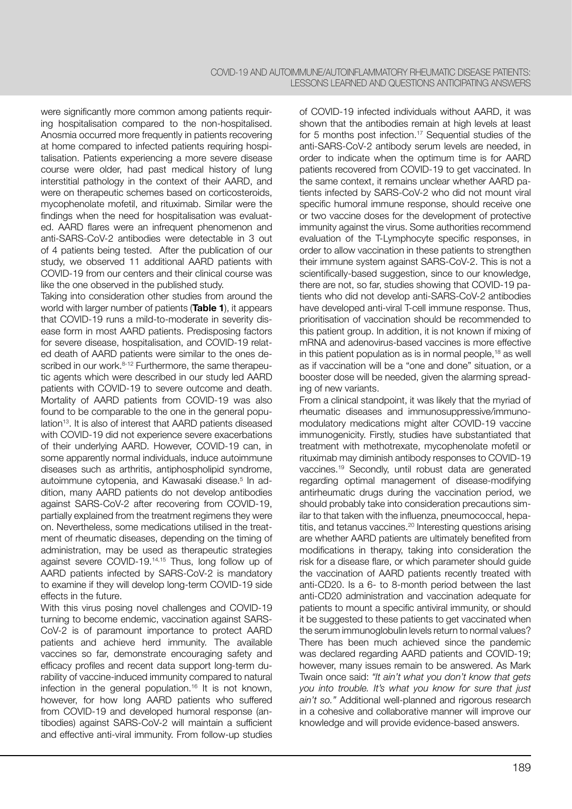were significantly more common among patients requiring hospitalisation compared to the non-hospitalised. Anosmia occurred more frequently in patients recovering at home compared to infected patients requiring hospitalisation. Patients experiencing a more severe disease course were older, had past medical history of lung interstitial pathology in the context of their AARD, and were on therapeutic schemes based on corticosteroids, mycophenolate mofetil, and rituximab. Similar were the findings when the need for hospitalisation was evaluated. AARD flares were an infrequent phenomenon and anti-SARS-CoV-2 antibodies were detectable in 3 out of 4 patients being tested. After the publication of our study, we observed 11 additional AARD patients with COVID-19 from our centers and their clinical course was like the one observed in the published study.

Taking into consideration other studies from around the world with larger number of patients (**Table 1**), it appears that COVID-19 runs a mild-to-moderate in severity disease form in most AARD patients. Predisposing factors for severe disease, hospitalisation, and COVID-19 related death of AARD patients were similar to the ones described in our work.<sup>8-12</sup> Furthermore, the same therapeutic agents which were described in our study led AARD patients with COVID-19 to severe outcome and death. Mortality of AARD patients from COVID-19 was also found to be comparable to the one in the general population<sup>13</sup>. It is also of interest that AARD patients diseased with COVID-19 did not experience severe exacerbations of their underlying AARD. However, COVID-19 can, in some apparently normal individuals, induce autoimmune diseases such as arthritis, antiphospholipid syndrome, autoimmune cytopenia, and Kawasaki disease.<sup>5</sup> In addition, many AARD patients do not develop antibodies against SARS-CoV-2 after recovering from COVID-19, partially explained from the treatment regimens they were on. Nevertheless, some medications utilised in the treatment of rheumatic diseases, depending on the timing of administration, may be used as therapeutic strategies against severe COVID-19.14,15 Thus, long follow up of AARD patients infected by SARS-CoV-2 is mandatory to examine if they will develop long-term COVID-19 side effects in the future.

With this virus posing novel challenges and COVID-19 turning to become endemic, vaccination against SARS-CoV-2 is of paramount importance to protect AARD patients and achieve herd immunity. The available vaccines so far, demonstrate encouraging safety and efficacy profiles and recent data support long-term durability of vaccine-induced immunity compared to natural infection in the general population.16 It is not known, however, for how long AARD patients who suffered from COVID-19 and developed humoral response (antibodies) against SARS-CoV-2 will maintain a sufficient and effective anti-viral immunity. From follow-up studies of COVID-19 infected individuals without AARD, it was shown that the antibodies remain at high levels at least for 5 months post infection.<sup>17</sup> Sequential studies of the anti-SARS-CoV-2 antibody serum levels are needed, in order to indicate when the optimum time is for AARD patients recovered from COVID-19 to get vaccinated. In the same context, it remains unclear whether AARD patients infected by SARS-CoV-2 who did not mount viral specific humoral immune response, should receive one or two vaccine doses for the development of protective immunity against the virus. Some authorities recommend evaluation of the T-Lymphocyte specific responses, in order to allow vaccination in these patients to strengthen their immune system against SARS-CoV-2. This is not a scientifically-based suggestion, since to our knowledge, there are not, so far, studies showing that COVID-19 patients who did not develop anti-SARS-CoV-2 antibodies have developed anti-viral T-cell immune response. Thus, prioritisation of vaccination should be recommended to this patient group. In addition, it is not known if mixing of mRNA and adenovirus-based vaccines is more effective in this patient population as is in normal people,18 as well as if vaccination will be a "one and done" situation, or a booster dose will be needed, given the alarming spreading of new variants.

From a clinical standpoint, it was likely that the myriad of rheumatic diseases and immunosuppressive/immunomodulatory medications might alter COVID-19 vaccine immunogenicity. Firstly, studies have substantiated that treatment with methotrexate, mycophenolate mofetil or rituximab may diminish antibody responses to COVID-19 vaccines.19 Secondly, until robust data are generated regarding optimal management of disease-modifying antirheumatic drugs during the vaccination period, we should probably take into consideration precautions similar to that taken with the influenza, pneumococcal, hepatitis, and tetanus vaccines.<sup>20</sup> Interesting questions arising are whether AARD patients are ultimately benefited from modifications in therapy, taking into consideration the risk for a disease flare, or which parameter should guide the vaccination of AARD patients recently treated with anti-CD20. Is a 6- to 8-month period between the last anti-CD20 administration and vaccination adequate for patients to mount a specific antiviral immunity, or should it be suggested to these patients to get vaccinated when the serum immunoglobulin levels return to normal values? There has been much achieved since the pandemic was declared regarding AARD patients and COVID-19; however, many issues remain to be answered. As Mark Twain once said: *"It ain't what you don't know that gets you into trouble. It's what you know for sure that just ain't so."* Additional well-planned and rigorous research in a cohesive and collaborative manner will improve our knowledge and will provide evidence-based answers.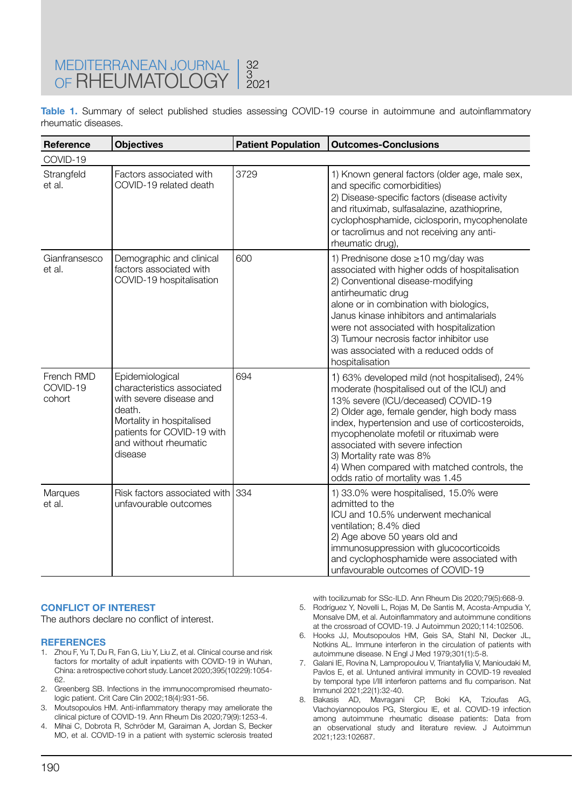**Table 1.** Summary of select published studies assessing COVID-19 course in autoimmune and autoinflammatory rheumatic diseases.

| Reference                        | <b>Objectives</b>                                                                                                                                                                 | <b>Patient Population</b> | <b>Outcomes-Conclusions</b>                                                                                                                                                                                                                                                                                                                                                                                                       |
|----------------------------------|-----------------------------------------------------------------------------------------------------------------------------------------------------------------------------------|---------------------------|-----------------------------------------------------------------------------------------------------------------------------------------------------------------------------------------------------------------------------------------------------------------------------------------------------------------------------------------------------------------------------------------------------------------------------------|
| COVID-19                         |                                                                                                                                                                                   |                           |                                                                                                                                                                                                                                                                                                                                                                                                                                   |
| Strangfeld<br>et al.             | Factors associated with<br>COVID-19 related death                                                                                                                                 | 3729                      | 1) Known general factors (older age, male sex,<br>and specific comorbidities)<br>2) Disease-specific factors (disease activity<br>and rituximab, sulfasalazine, azathioprine,<br>cyclophosphamide, ciclosporin, mycophenolate<br>or tacrolimus and not receiving any anti-<br>rheumatic drug),                                                                                                                                    |
| Gianfransesco<br>et al.          | Demographic and clinical<br>factors associated with<br>COVID-19 hospitalisation                                                                                                   | 600                       | 1) Prednisone dose ≥10 mg/day was<br>associated with higher odds of hospitalisation<br>2) Conventional disease-modifying<br>antirheumatic drug<br>alone or in combination with biologics,<br>Janus kinase inhibitors and antimalarials<br>were not associated with hospitalization<br>3) Tumour necrosis factor inhibitor use<br>was associated with a reduced odds of<br>hospitalisation                                         |
| French RMD<br>COVID-19<br>cohort | Epidemiological<br>characteristics associated<br>with severe disease and<br>death.<br>Mortality in hospitalised<br>patients for COVID-19 with<br>and without rheumatic<br>disease | 694                       | 1) 63% developed mild (not hospitalised), 24%<br>moderate (hospitalised out of the ICU) and<br>13% severe (ICU/deceased) COVID-19<br>2) Older age, female gender, high body mass<br>index, hypertension and use of corticosteroids,<br>mycophenolate mofetil or rituximab were<br>associated with severe infection<br>3) Mortality rate was 8%<br>4) When compared with matched controls, the<br>odds ratio of mortality was 1.45 |
| Marques<br>et al.                | Risk factors associated with<br>unfavourable outcomes                                                                                                                             | 334                       | 1) 33.0% were hospitalised, 15.0% were<br>admitted to the<br>ICU and 10.5% underwent mechanical<br>ventilation; 8.4% died<br>2) Age above 50 years old and<br>immunosuppression with glucocorticoids<br>and cyclophosphamide were associated with<br>unfavourable outcomes of COVID-19                                                                                                                                            |

## **CONFLICT OF INTEREST**

The authors declare no conflict of interest.

## **REFERENCES**

- 1. Zhou F, Yu T, Du R, Fan G, Liu Y, Liu Z, et al. Clinical course and risk factors for mortality of adult inpatients with COVID-19 in Wuhan, China: a retrospective cohort study. Lancet 2020;395(10229):1054- 62.
- 2. Greenberg SB. Infections in the immunocompromised rheumatologic patient. Crit Care Clin 2002;18(4):931-56.
- 3. Moutsopoulos HM. Anti-inflammatory therapy may ameliorate the clinical picture of COVID-19. Ann Rheum Dis 2020;79(9):1253-4.
- 4. Mihai C, Dobrota R, Schröder M, Garaiman A, Jordan S, Becker MO, et al. COVID-19 in a patient with systemic sclerosis treated
- with tocilizumab for SSc-ILD. Ann Rheum Dis 2020;79(5):668-9. 5. Rodríguez Y, Novelli L, Rojas M, De Santis M, Acosta-Ampudia Y, Monsalve DM, et al. Autoinflammatory and autoimmune conditions at the crossroad of COVID-19. J Autoimmun 2020;114:102506.
- 6. Hooks JJ, Moutsopoulos HM, Geis SA, Stahl NI, Decker JL, Notkins AL. Immune interferon in the circulation of patients with autoimmune disease. N Engl J Med 1979;301(1):5-8.
- 7. Galani IE, Rovina N, Lampropoulou V, Triantafyllia V, Manioudaki M, Pavlos E, et al. Untuned antiviral immunity in COVID-19 revealed by temporal type I/III interferon patterns and flu comparison. Nat Immunol 2021;22(1):32-40.
- 8. Bakasis AD, Mavragani CP, Boki KA, Tzioufas AG, Vlachoyiannopoulos PG, Stergiou IE, et al. COVID-19 infection among autoimmune rheumatic disease patients: Data from an observational study and literature review. J Autoimmun 2021;123:102687.